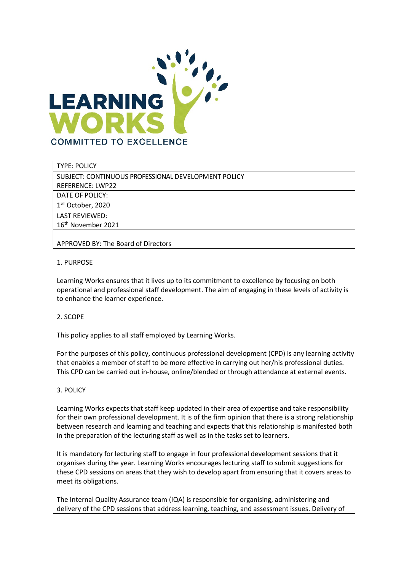

TYPE: POLICY

SUBJECT: CONTINUOUS PROFESSIONAL DEVELOPMENT POLICY

REFERENCE: LWP22

DATE OF POLICY:

1 ST October, 2020

LAST REVIEWED:

16th November 2021

APPROVED BY: The Board of Directors

## 1. PURPOSE

Learning Works ensures that it lives up to its commitment to excellence by focusing on both operational and professional staff development. The aim of engaging in these levels of activity is to enhance the learner experience.

## 2. SCOPE

This policy applies to all staff employed by Learning Works.

For the purposes of this policy, continuous professional development (CPD) is any learning activity that enables a member of staff to be more effective in carrying out her/his professional duties. This CPD can be carried out in-house, online/blended or through attendance at external events.

## 3. POLICY

Learning Works expects that staff keep updated in their area of expertise and take responsibility for their own professional development. It is of the firm opinion that there is a strong relationship between research and learning and teaching and expects that this relationship is manifested both in the preparation of the lecturing staff as well as in the tasks set to learners.

It is mandatory for lecturing staff to engage in four professional development sessions that it organises during the year. Learning Works encourages lecturing staff to submit suggestions for these CPD sessions on areas that they wish to develop apart from ensuring that it covers areas to meet its obligations.

The Internal Quality Assurance team (IQA) is responsible for organising, administering and delivery of the CPD sessions that address learning, teaching, and assessment issues. Delivery of